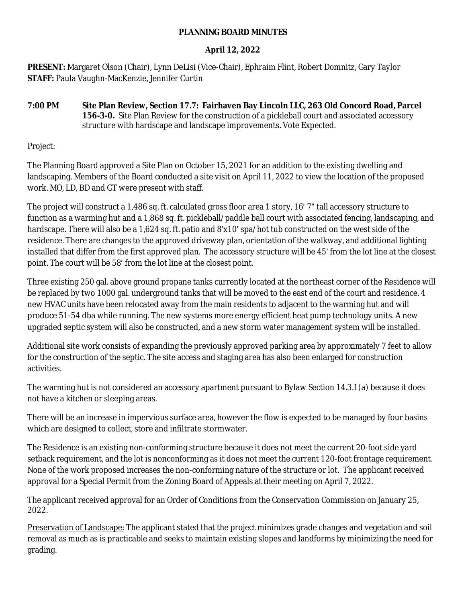#### **PLANNING BOARD MINUTES**

# **April 12, 2022**

**PRESENT:** Margaret Olson (Chair), Lynn DeLisi (Vice-Chair), Ephraim Flint, Robert Domnitz, Gary Taylor **STAFF:** Paula Vaughn-MacKenzie, Jennifer Curtin

**7:00 PM Site Plan Review, Section 17.7: Fairhaven Bay Lincoln LLC, 263 Old Concord Road, Parcel 156-3-0.** Site Plan Review for the construction of a pickleball court and associated accessory structure with hardscape and landscape improvements. Vote Expected.

Project:

The Planning Board approved a Site Plan on October 15, 2021 for an addition to the existing dwelling and landscaping. Members of the Board conducted a site visit on April 11, 2022 to view the location of the proposed work. MO, LD, BD and GT were present with staff.

The project will construct a 1,486 sq. ft. calculated gross floor area 1 story, 16' 7" tall accessory structure to function as a warming hut and a 1,868 sq. ft. pickleball/paddle ball court with associated fencing, landscaping, and hardscape. There will also be a 1,624 sq. ft. patio and 8'x10' spa/hot tub constructed on the west side of the residence. There are changes to the approved driveway plan, orientation of the walkway, and additional lighting installed that differ from the first approved plan. The accessory structure will be 45' from the lot line at the closest point. The court will be 58' from the lot line at the closest point.

Three existing 250 gal. above ground propane tanks currently located at the northeast corner of the Residence will be replaced by two 1000 gal. underground tanks that will be moved to the east end of the court and residence. 4 new HVAC units have been relocated away from the main residents to adjacent to the warming hut and will produce 51-54 dba while running. The new systems more energy efficient heat pump technology units. A new upgraded septic system will also be constructed, and a new storm water management system will be installed.

Additional site work consists of expanding the previously approved parking area by approximately 7 feet to allow for the construction of the septic. The site access and staging area has also been enlarged for construction activities.

The warming hut is not considered an accessory apartment pursuant to Bylaw Section 14.3.1(a) because it does not have a kitchen or sleeping areas.

There will be an increase in impervious surface area, however the flow is expected to be managed by four basins which are designed to collect, store and infiltrate stormwater.

The Residence is an existing non-conforming structure because it does not meet the current 20-foot side yard setback requirement, and the lot is nonconforming as it does not meet the current 120-foot frontage requirement. None of the work proposed increases the non-conforming nature of the structure or lot. The applicant received approval for a Special Permit from the Zoning Board of Appeals at their meeting on April 7, 2022.

The applicant received approval for an Order of Conditions from the Conservation Commission on January 25, 2022.

Preservation of Landscape: The applicant stated that the project minimizes grade changes and vegetation and soil removal as much as is practicable and seeks to maintain existing slopes and landforms by minimizing the need for grading.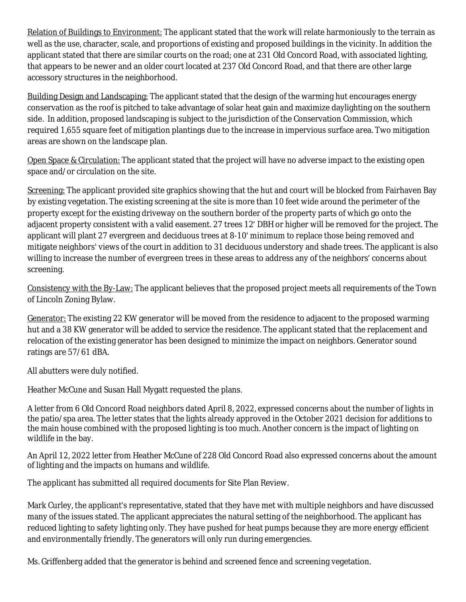Relation of Buildings to Environment: The applicant stated that the work will relate harmoniously to the terrain as well as the use, character, scale, and proportions of existing and proposed buildings in the vicinity. In addition the applicant stated that there are similar courts on the road; one at 231 Old Concord Road, with associated lighting, that appears to be newer and an older court located at 237 Old Concord Road, and that there are other large accessory structures in the neighborhood.

Building Design and Landscaping: The applicant stated that the design of the warming hut encourages energy conservation as the roof is pitched to take advantage of solar heat gain and maximize daylighting on the southern side. In addition, proposed landscaping is subject to the jurisdiction of the Conservation Commission, which required 1,655 square feet of mitigation plantings due to the increase in impervious surface area. Two mitigation areas are shown on the landscape plan.

Open Space & Circulation: The applicant stated that the project will have no adverse impact to the existing open space and/or circulation on the site.

Screening: The applicant provided site graphics showing that the hut and court will be blocked from Fairhaven Bay by existing vegetation. The existing screening at the site is more than 10 feet wide around the perimeter of the property except for the existing driveway on the southern border of the property parts of which go onto the adjacent property consistent with a valid easement. 27 trees 12' DBH or higher will be removed for the project. The applicant will plant 27 evergreen and deciduous trees at 8-10' minimum to replace those being removed and mitigate neighbors' views of the court in addition to 31 deciduous understory and shade trees. The applicant is also willing to increase the number of evergreen trees in these areas to address any of the neighbors' concerns about screening.

Consistency with the By-Law: The applicant believes that the proposed project meets all requirements of the Town of Lincoln Zoning Bylaw.

Generator: The existing 22 KW generator will be moved from the residence to adjacent to the proposed warming hut and a 38 KW generator will be added to service the residence. The applicant stated that the replacement and relocation of the existing generator has been designed to minimize the impact on neighbors. Generator sound ratings are 57/61 dBA.

All abutters were duly notified.

Heather McCune and Susan Hall Mygatt requested the plans.

A letter from 6 Old Concord Road neighbors dated April 8, 2022, expressed concerns about the number of lights in the patio/spa area. The letter states that the lights already approved in the October 2021 decision for additions to the main house combined with the proposed lighting is too much. Another concern is the impact of lighting on wildlife in the bay.

An April 12, 2022 letter from Heather McCune of 228 Old Concord Road also expressed concerns about the amount of lighting and the impacts on humans and wildlife.

The applicant has submitted all required documents for Site Plan Review.

Mark Curley, the applicant's representative, stated that they have met with multiple neighbors and have discussed many of the issues stated. The applicant appreciates the natural setting of the neighborhood. The applicant has reduced lighting to safety lighting only. They have pushed for heat pumps because they are more energy efficient and environmentally friendly. The generators will only run during emergencies.

Ms. Griffenberg added that the generator is behind and screened fence and screening vegetation.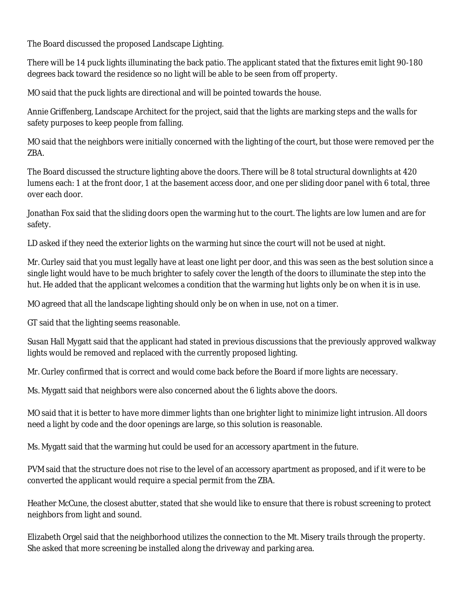The Board discussed the proposed Landscape Lighting.

There will be 14 puck lights illuminating the back patio. The applicant stated that the fixtures emit light 90-180 degrees back toward the residence so no light will be able to be seen from off property.

MO said that the puck lights are directional and will be pointed towards the house.

Annie Griffenberg, Landscape Architect for the project, said that the lights are marking steps and the walls for safety purposes to keep people from falling.

MO said that the neighbors were initially concerned with the lighting of the court, but those were removed per the ZBA.

The Board discussed the structure lighting above the doors. There will be 8 total structural downlights at 420 lumens each: 1 at the front door, 1 at the basement access door, and one per sliding door panel with 6 total, three over each door.

Jonathan Fox said that the sliding doors open the warming hut to the court. The lights are low lumen and are for safety.

LD asked if they need the exterior lights on the warming hut since the court will not be used at night.

Mr. Curley said that you must legally have at least one light per door, and this was seen as the best solution since a single light would have to be much brighter to safely cover the length of the doors to illuminate the step into the hut. He added that the applicant welcomes a condition that the warming hut lights only be on when it is in use.

MO agreed that all the landscape lighting should only be on when in use, not on a timer.

GT said that the lighting seems reasonable.

Susan Hall Mygatt said that the applicant had stated in previous discussions that the previously approved walkway lights would be removed and replaced with the currently proposed lighting.

Mr. Curley confirmed that is correct and would come back before the Board if more lights are necessary.

Ms. Mygatt said that neighbors were also concerned about the 6 lights above the doors.

MO said that it is better to have more dimmer lights than one brighter light to minimize light intrusion. All doors need a light by code and the door openings are large, so this solution is reasonable.

Ms. Mygatt said that the warming hut could be used for an accessory apartment in the future.

PVM said that the structure does not rise to the level of an accessory apartment as proposed, and if it were to be converted the applicant would require a special permit from the ZBA.

Heather McCune, the closest abutter, stated that she would like to ensure that there is robust screening to protect neighbors from light and sound.

Elizabeth Orgel said that the neighborhood utilizes the connection to the Mt. Misery trails through the property. She asked that more screening be installed along the driveway and parking area.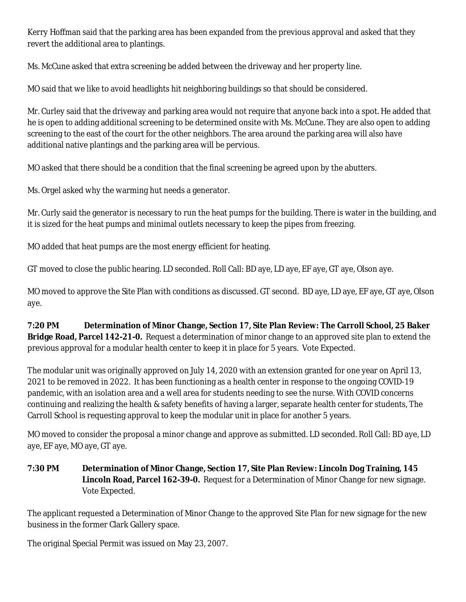Kerry Hoffman said that the parking area has been expanded from the previous approval and asked that they revert the additional area to plantings.

Ms. McCune asked that extra screening be added between the driveway and her property line.

MO said that we like to avoid headlights hit neighboring buildings so that should be considered.

Mr. Curley said that the driveway and parking area would not require that anyone back into a spot. He added that he is open to adding additional screening to be determined onsite with Ms. McCune. They are also open to adding screening to the east of the court for the other neighbors. The area around the parking area will also have additional native plantings and the parking area will be pervious.

MO asked that there should be a condition that the final screening be agreed upon by the abutters.

Ms. Orgel asked why the warming hut needs a generator.

Mr. Curly said the generator is necessary to run the heat pumps for the building. There is water in the building, and it is sized for the heat pumps and minimal outlets necessary to keep the pipes from freezing.

MO added that heat pumps are the most energy efficient for heating.

GT moved to close the public hearing. LD seconded. Roll Call: BD aye, LD aye, EF aye, GT aye, Olson aye.

MO moved to approve the Site Plan with conditions as discussed. GT second. BD aye, LD aye, EF aye, GT aye, Olson aye.

**7:20 PM Determination of Minor Change, Section 17, Site Plan Review: The Carroll School, 25 Baker Bridge Road, Parcel 142-21-0.** Request a determination of minor change to an approved site plan to extend the previous approval for a modular health center to keep it in place for 5 years. Vote Expected.

The modular unit was originally approved on July 14, 2020 with an extension granted for one year on April 13, 2021 to be removed in 2022. It has been functioning as a health center in response to the ongoing COVID-19 pandemic, with an isolation area and a well area for students needing to see the nurse. With COVID concerns continuing and realizing the health & safety benefits of having a larger, separate health center for students, The Carroll School is requesting approval to keep the modular unit in place for another 5 years.

MO moved to consider the proposal a minor change and approve as submitted. LD seconded. Roll Call: BD aye, LD aye, EF aye, MO aye, GT aye.

**7:30 PM Determination of Minor Change, Section 17, Site Plan Review: Lincoln Dog Training, 145 Lincoln Road, Parcel 162-39-0.** Request for a Determination of Minor Change for new signage. Vote Expected.

The applicant requested a Determination of Minor Change to the approved Site Plan for new signage for the new business in the former Clark Gallery space.

The original Special Permit was issued on May 23, 2007.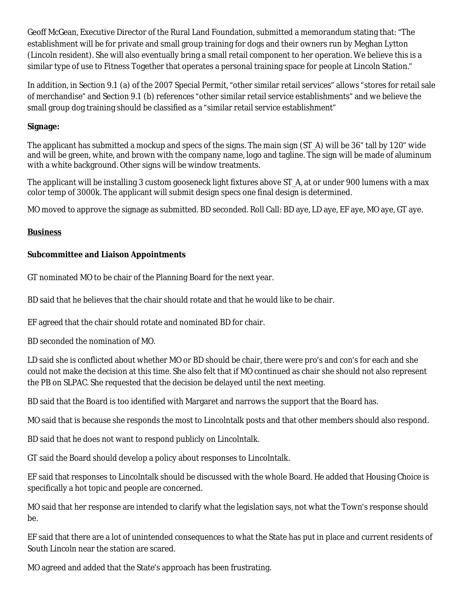Geoff McGean, Executive Director of the Rural Land Foundation, submitted a memorandum stating that: "The establishment will be for private and small group training for dogs and their owners run by Meghan Lytton (Lincoln resident). She will also eventually bring a small retail component to her operation. We believe this is a similar type of use to Fitness Together that operates a personal training space for people at Lincoln Station."

In addition, in Section 9.1 (a) of the 2007 Special Permit, "other similar retail services" allows "stores for retail sale of merchandise" and Section 9.1 (b) references "other similar retail service establishments" and we believe the small group dog training should be classified as a "similar retail service establishment"

### **Signage:**

The applicant has submitted a mockup and specs of the signs. The main sign (ST\_A) will be 36" tall by 120" wide and will be green, white, and brown with the company name, logo and tagline. The sign will be made of aluminum with a white background. Other signs will be window treatments.

The applicant will be installing 3 custom gooseneck light fixtures above ST A, at or under 900 lumens with a max color temp of 3000k. The applicant will submit design specs one final design is determined.

MO moved to approve the signage as submitted. BD seconded. Roll Call: BD aye, LD aye, EF aye, MO aye, GT aye.

# **Business**

# **Subcommittee and Liaison Appointments**

GT nominated MO to be chair of the Planning Board for the next year.

BD said that he believes that the chair should rotate and that he would like to be chair.

EF agreed that the chair should rotate and nominated BD for chair.

BD seconded the nomination of MO.

LD said she is conflicted about whether MO or BD should be chair, there were pro's and con's for each and she could not make the decision at this time. She also felt that if MO continued as chair she should not also represent the PB on SLPAC. She requested that the decision be delayed until the next meeting.

BD said that the Board is too identified with Margaret and narrows the support that the Board has.

MO said that is because she responds the most to Lincolntalk posts and that other members should also respond.

BD said that he does not want to respond publicly on Lincolntalk.

GT said the Board should develop a policy about responses to Lincolntalk.

EF said that responses to Lincolntalk should be discussed with the whole Board. He added that Housing Choice is specifically a hot topic and people are concerned.

MO said that her response are intended to clarify what the legislation says, not what the Town's response should be.

EF said that there are a lot of unintended consequences to what the State has put in place and current residents of South Lincoln near the station are scared.

MO agreed and added that the State's approach has been frustrating.